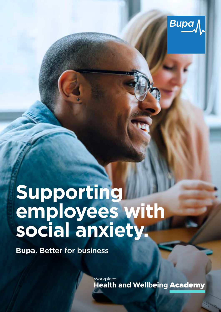

# **Supporting employees with social anxiety.**

**Bupa.** Better for business

**Workplace Health and Wellbeing** Academy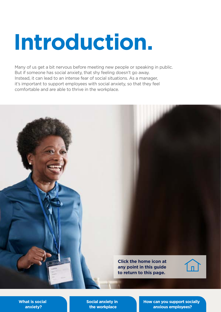# **Introduction.**

Many of us get a bit nervous before meeting new people or speaking in public. But if someone has social anxiety, that shy feeling doesn't go away. Instead, it can lead to an intense fear of social situations. As a manager, it's important to support employees with social anxiety, so that they feel comfortable and are able to thrive in the workplace.



**[Social anxiety in](#page-5-0)  the workplace** 

**[How can you support socially](#page-6-0)  anxious employees?**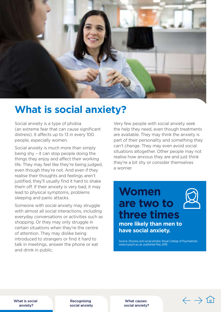<span id="page-2-0"></span>

## **What is social anxiety?**

Social anxiety is a type of phobia (an extreme fear that can cause significant distress). It affects up to 13 in every 100 people, especially women.

Social anxiety is much more than simply being shy – it can stop people doing the things they enjoy and affect their working life. They may feel like they're being judged, even though they're not. And even if they realise their thoughts and feelings aren't justified, they'll usually find it hard to shake them off. If their anxiety is very bad, it may lead to physical symptoms, problems sleeping and panic attacks.

Someone with social anxiety may struggle with almost all social interactions, including everyday conversations or activities such as shopping. Or they may only struggle in certain situations when they're the centre of attention. They may dislike being introduced to strangers or find it hard to talk in meetings, answer the phone or eat and drink in public.

Very few people with social anxiety seek the help they need, even though treatments are available. They may think the anxiety is part of their personality and something they can't change. They may even avoid social situations altogether. Other people may not realise how anxious they are and just think they're a bit shy or consider themselves a worrier.

**are two to three times more likely than men to have social anxiety.** 

**Women** 

Source: Shyness and social phobia. Royal College of Psychiatrists. [www.rcpsych.ac.uk,](www.rcpsych.ac.uk) published May 2016

What is social anxiety?

Recognising [social anxiety](#page-3-0) 

What causes [social anxiety?](#page-4-0) 

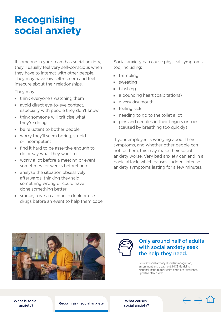## <span id="page-3-0"></span>**Recognising social anxiety**

If someone in your team has social anxiety, they'll usually feel very self-conscious when they have to interact with other people. They may have low self-esteem and feel insecure about their relationships.

They may:

- $\blacksquare$  think everyone's watching them
- void direct eye-to-eye contact, especially with people they don't know
- $\blacksquare$  think someone will criticise what they're doing
- $\blacksquare$  be reluctant to bother people
- vorry they'll seem boring, stupid or incompetent
- $\blacksquare$  find it hard to be assertive enough to do or say what they want to
- vorry a lot before a meeting or event, sometimes for weeks beforehand
- $\blacksquare$  analyse the situation obsessively afterwards, thinking they said something wrong or could have done something better
- smoke, have an alcoholic drink or use drugs before an event to help them cope

Social anxiety can cause physical symptoms too, including:

- $\blacksquare$  trembling
- $\blacksquare$  sweating
- **D** blushing
- a pounding heart (palpitations)
- $\blacksquare$  a very dry mouth
- feeling sick
- $\blacksquare$  needing to go to the toilet a lot
- **pins and needles in their fingers or toes** (caused by breathing too quickly)

If your employee is worrying about their symptoms, and whether other people can notice them, this may make their social anxiety worse. Very bad anxiety can end in a panic attack, which causes sudden, intense anxiety symptoms lasting for a few minutes.





#### Only around half of adults with social anxiety seek the help they need.

Source: Social anxiety disorder: recognition, assessment and treatment. NICE Guideline. National Institute for Health and Care Excellence, updated March 2020.

[What is social](#page-2-0)  anxiety?

Recognising social anxiety<br>? social anxiety

What causes

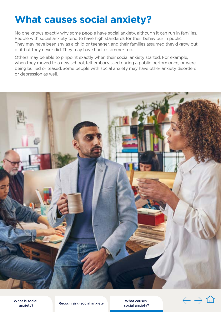## <span id="page-4-0"></span>**What causes social anxiety?**

No one knows exactly why some people have social anxiety, although it can run in families. People with social anxiety tend to have high standards for their behaviour in public. They may have been shy as a child or teenager, and their families assumed they'd grow out of it but they never did. They may have had a stammer too.

Others may be able to pinpoint exactly when their social anxiety started. For example, when they moved to a new school, felt embarrassed during a public performance, or were being bullied or teased. Some people with social anxiety may have other anxiety disorders or depression as well.



[What is social](#page-2-0)  anxiety?

Recognising social anxiety<br>social anxiety?

What causes

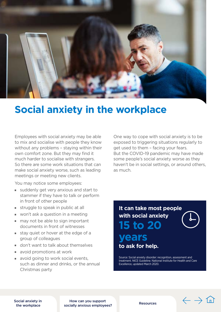<span id="page-5-0"></span>

## **Social anxiety in the workplace**

Employees with social anxiety may be able to mix and socialise with people they know without any problems – staying within their own comfort zone. But they may find it much harder to socialise with strangers. So there are some work situations that can make social anxiety worse, such as leading meetings or meeting new clients.

You may notice some employees:

- $\blacksquare$  suddenly get very anxious and start to stammer if they have to talk or perform in front of other people
- $\blacksquare$  struggle to speak in public at all
- $\blacksquare$  won't ask a question in a meeting
- $\blacksquare$  may not be able to sign important documents in front of witnesses
- $\blacksquare$  stay quiet or hover at the edge of a group of colleagues
- on't want to talk about themselves
- v avoid promotions at work
- $\blacksquare$  avoid going to work social events, such as dinner and drinks, or the annual Christmas party

One way to cope with social anxiety is to be exposed to triggering situations regularly to get used to them – facing your fears. But the COVID-19 pandemic may have made some people's social anxiety worse as they haven't be in social settings, or around others. as much.

### **It can take most people with social anxiety 15 to 20 years to ask for help.**

Source: Social anxiety disorder: recognition, assessment and treatment. NICE Guideline. National Institute for Health and Care Excellence, updated March 2020.

 $\leftarrow$   $\rightarrow$  1n

Social anxiety in the workplace

How can you support [socially anxious employees?](#page-6-0) [Resources](#page-8-0)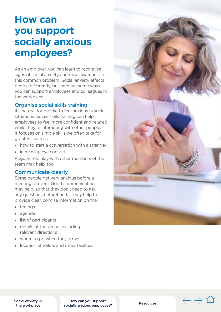## <span id="page-6-0"></span>**How can you support socially anxious employees?**

As an employer, you can learn to recognise signs of social anxiety and raise awareness of this common problem. Social anxiety affects people differently, but here are some ways you can support employees and colleagues in the workplace.

#### Organise social skills training

It's natural for people to feel anxious in social situations. Social skills training can help employees to feel more confident and relaxed while they're interacting with other people. It focuses on simple skills we often take for granted, such as:

- $\blacksquare$  how to start a conversation with a stranger
- **n** increasing eye contact

Regular role play with other members of the team may help, too.

#### Communicate clearly

Some people get very anxious before a meeting or event. Good communication may help, so that they don't need to ask any questions beforehand. It may help to provide clear, concise information on the:

- $-$  timings
- agenda
- $\blacksquare$  list of participants
- $\blacksquare$  details of the venue, including relevant directions
- $\blacksquare$  where to go when they arrive
- location of toilets and other facilities



[Social anxiety in](#page-5-0)  the workplace

How can you support socially anxious employees? [Resources](#page-8-0)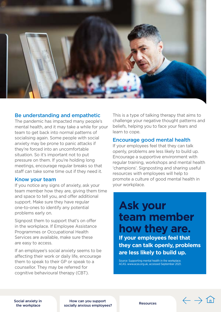

#### Be understanding and empathetic

The pandemic has impacted many people's mental health, and it may take a while for your team to get back into normal patterns of socialising again. Some people with social anxiety may be prone to panic attacks if they're forced into an uncomfortable situation. So it's important not to put pressure on them. If you're holding long meetings, encourage regular breaks so that staff can take some time out if they need it.

#### Know your team

If you notice any signs of anxiety, ask your team member how they are, giving them time and space to tell you, and offer additional support. Make sure they have regular one-to-ones to identify any potential problems early on.

Signpost them to support that's on offer in the workplace. If Employee Assistance Programmes or Occupational Health Services are available, make sure these are easy to access.

If an employee's social anxiety seems to be affecting their work or daily life, encourage them to speak to their GP or speak to a counsellor. They may be referred for cognitive behavioural therapy (CBT).

This is a type of talking therapy that aims to challenge your negative thought patterns and beliefs, helping you to face your fears and learn to cope.

#### Encourage good mental health

If your employees feel that they can talk openly, problems are less likely to build up. Encourage a supportive environment with regular training, workshops and mental health 'champions'. Signposting and sharing useful resources with employees will help to promote a culture of good mental health in your workplace.

## **Ask your team member how they are. If your employees feel that they can talk openly, problems are less likely to build up.**

Source: Supporting mental health in the workplace. ACAS.<www.acas.org.uk>, accessed September 2021.

[Social anxiety in](#page-5-0)  the workplace

How can you support [socially anxious employees?](#page-6-0) [Resources](#page-8-0) 

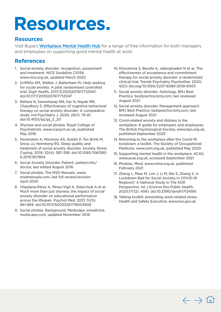## <span id="page-8-0"></span>**Resources.**

#### **Resources**

Visit Bupa's [Workplace Mental Health Hub](https://www.bupa.co.uk/health-information/workplace-mental-health) for a range of free information for both managers and employees on supporting good mental health at work.

#### **References**

- 1. Social anxiety disorder: recognition, assessment and treatment. NICE Guideline CG159. [www.nice.org.uk,](www.nice.org.uk) updated March 2020
- 2. Griffiths KM, Walker J, Batterham PJ. Help seeking for social anxiety: A pilot randomised controlled trial. Digit Health. 2017;3:2055207617712047. doi:10.1177/2055207617712047
- 3. Behera N, Samantaray NN, Kar N, Nayak MR, Chaudhury S. Effectiveness of cognitive behavioral therapy on social anxiety disorder: A comparative study. Ind Psychiatry J. 2020; 29(1): 76-81. doi:10.4103/ipj.ipj\_2\_20
- 4. Shyness and social phobia. Royal College of Psychiatrists. [www.rcpsych.ac.uk,](www.rcpsych.ac.uk) published May 2016
- 5. Horenstein A, Morrison AS, Goldin P, Ten Brink M, Gross JJ, Heimberg RG. Sleep quality and treatment of social anxiety disorder. Anxiety Stress Coping. 2019; 32(4): 387-398. doi:10.1080/1061580 6.2019.1617854
- 6. Social Anxiety Disorder. Patient. patient.info/ doctor, last edited August 2016
- 7. Social phobia. The MSD Manuals. www. [msdmanuals.com,](https://msdmanuals.com) last full review/revision April 2020
- 8. Vilaplana-Pérez A, Pérez-Vigil A, Sidorchuk A et al. Much more than just shyness: the impact of social anxiety disorder on educational performance across the lifespan. Psychol Med. 2021; 51(5): 861-869. doi:10.1017/S0033291719003908
- 9. Social phobia. Background. Medscape. emedicine. [medscape.com](https://medscape.com), updated November 2018
- 10. Khoramnia S, Bavafa A, Jaberghaderi N et al. The effectiveness of acceptance and commitment therapy for social anxiety disorder: a randomized clinical trial. Trends Psychiatry Psychother. 2020; 42(1) [doi.org/10.1590/2237-6089-2019-0003](https://doi.org/10.1590/2237-6089-2019-0003)
- 11. Social anxiety disorder. Aetiology. BMJ Best Practice. [bestpractice.bmj.com,](https://bestpractice.bmj.com) last reviewed August 2021
- 12. Social anxiety disorder. Management approach. BMJ Best Practice. [bestpractice.bmj.com,](https://bestpractice.bmj.com) last reviewed August 2021
- 13. Covid-related anxiety and distress in the workplace: A guide for employers and employees. The British Psychological Society. [www.bps.org.uk,](www.bps.org.uk) published September 2020
- 14. Returning to the workplace after the Covid-19 lockdown: a toolkit. The Society of Occupational Medicine. [www.som.org.uk,](www.som.org.uk) published May 2020
- 15. Supporting mental health in the workplace. ACAS. [www.acas.org.uk,](www.acas.org.uk) accessed September 2021
- 16. Phobias. Mind. [www.mind.org.uk,](www.mind.org.uk) published February 2021
- 17. Zheng L, Miao M, Lim J, Li M, Nie S, Zhang X. Is Lockdown Bad for Social Anxiety in COVID-19 Regions?: A National Study in The SOR Perspective. Int J Environ Res Public Health. 2020;17(12): 4561. doi:10.3390/ijerph17124561
- 18. Talking toolkit: preventing work-related stress. Health and Safety Executive.<www.hse.gov.uk>